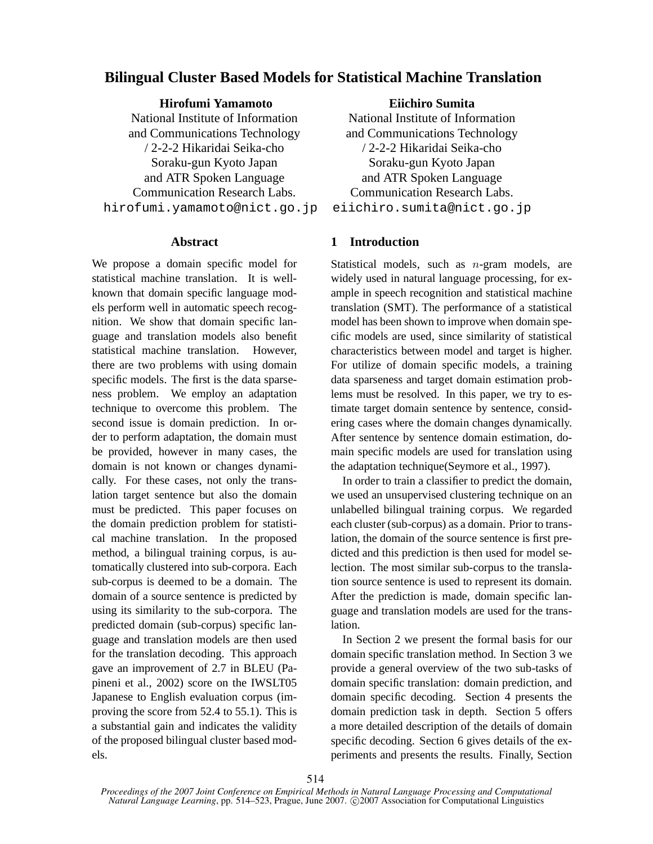# **Bilingual Cluster Based Models for Statistical Machine Translation**

**Hirofumi Yamamoto** National Institute of Information and Communications Technology / 2-2-2 Hikaridai Seika-cho Soraku-gun Kyoto Japan and ATR Spoken Language Communication Research Labs. hirofumi.yamamoto@nict.go.jp

#### **Abstract**

We propose a domain specific model for statistical machine translation. It is wellknown that domain specific language models perform well in automatic speech recognition. We show that domain specific language and translation models also benefit statistical machine translation. However, there are two problems with using domain specific models. The first is the data sparseness problem. We employ an adaptation technique to overcome this problem. The second issue is domain prediction. In order to perform adaptation, the domain must be provided, however in many cases, the domain is not known or changes dynamically. For these cases, not only the translation target sentence but also the domain must be predicted. This paper focuses on the domain prediction problem for statistical machine translation. In the proposed method, a bilingual training corpus, is automatically clustered into sub-corpora. Each sub-corpus is deemed to be a domain. The domain of a source sentence is predicted by using its similarity to the sub-corpora. The predicted domain (sub-corpus) specific language and translation models are then used for the translation decoding. This approach gave an improvement of 2.7 in BLEU (Papineni et al., 2002) score on the IWSLT05 Japanese to English evaluation corpus (improving the score from 52.4 to 55.1). This is a substantial gain and indicates the validity of the proposed bilingual cluster based models.

**Eiichiro Sumita** National Institute of Information and Communications Technology / 2-2-2 Hikaridai Seika-cho Soraku-gun Kyoto Japan and ATR Spoken Language Communication Research Labs. eiichiro.sumita@nict.go.jp

# **1 Introduction**

Statistical models, such as  $n$ -gram models, are widely used in natural language processing, for example in speech recognition and statistical machine translation (SMT). The performance of a statistical model has been shown to improve when domain specific models are used, since similarity of statistical characteristics between model and target is higher. For utilize of domain specific models, a training data sparseness and target domain estimation problems must be resolved. In this paper, we try to estimate target domain sentence by sentence, considering cases where the domain changes dynamically. After sentence by sentence domain estimation, domain specific models are used for translation using the adaptation technique(Seymore et al., 1997).

In order to train a classifier to predict the domain, we used an unsupervised clustering technique on an unlabelled bilingual training corpus. We regarded each cluster (sub-corpus) as a domain. Prior to translation, the domain of the source sentence is first predicted and this prediction is then used for model selection. The most similar sub-corpus to the translation source sentence is used to represent its domain. After the prediction is made, domain specific language and translation models are used for the translation.

In Section 2 we present the formal basis for our domain specific translation method. In Section 3 we provide a general overview of the two sub-tasks of domain specific translation: domain prediction, and domain specific decoding. Section 4 presents the domain prediction task in depth. Section 5 offers a more detailed description of the details of domain specific decoding. Section 6 gives details of the experiments and presents the results. Finally, Section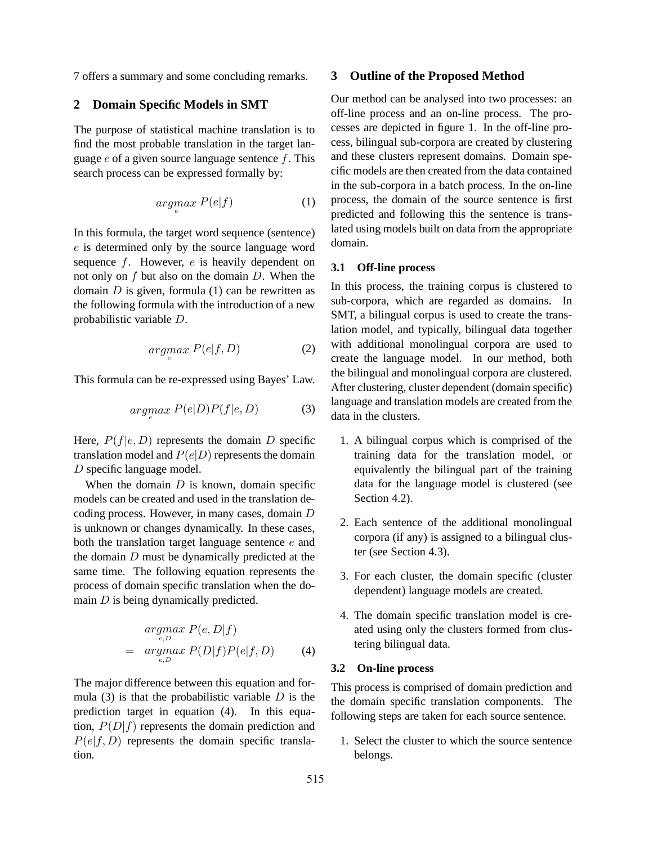7 offers a summary and some concluding remarks.

### **2 Domain Specific Models in SMT**

The purpose of statistical machine translation is to find the most probable translation in the target language  $e$  of a given source language sentence  $f$ . This search process can be expressed formally by:

$$
argmax_{e} P(e|f) \tag{1}
$$

In this formula, the target word sequence (sentence) e is determined only by the source language word sequence  $f$ . However,  $e$  is heavily dependent on not only on  $f$  but also on the domain  $D$ . When the domain  $D$  is given, formula (1) can be rewritten as the following formula with the introduction of a new probabilistic variable D.

$$
argmax_{e} P(e|f, D) \tag{2}
$$

This formula can be re-expressed using Bayes' Law.

$$
argmax_{e} P(e|D)P(f|e, D) \tag{3}
$$

Here,  $P(f|e, D)$  represents the domain D specific translation model and  $P(e|D)$  represents the domain D specific language model.

When the domain  $D$  is known, domain specific models can be created and used in the translation decoding process. However, in many cases, domain D is unknown or changes dynamically. In these cases, both the translation target language sentence  $e$  and the domain  $D$  must be dynamically predicted at the same time. The following equation represents the process of domain specific translation when the domain  $D$  is being dynamically predicted.

$$
\underset{e,D}{argmax} P(e,D|f)
$$
\n
$$
= \underset{e,D}{argmax} P(D|f)P(e|f,D) \qquad (4)
$$

The major difference between this equation and formula (3) is that the probabilistic variable  $D$  is the prediction target in equation (4). In this equation,  $P(D|f)$  represents the domain prediction and  $P(e|f, D)$  represents the domain specific translation.

# **3 Outline of the Proposed Method**

Our method can be analysed into two processes: an off-line process and an on-line process. The processes are depicted in figure 1. In the off-line process, bilingual sub-corpora are created by clustering and these clusters represent domains. Domain specific models are then created from the data contained in the sub-corpora in a batch process. In the on-line process, the domain of the source sentence is first predicted and following this the sentence is translated using models built on data from the appropriate domain.

#### **3.1 Off-line process**

In this process, the training corpus is clustered to sub-corpora, which are regarded as domains. In SMT, a bilingual corpus is used to create the translation model, and typically, bilingual data together with additional monolingual corpora are used to create the language model. In our method, both the bilingual and monolingual corpora are clustered. After clustering, cluster dependent (domain specific) language and translation models are created from the data in the clusters.

- 1. A bilingual corpus which is comprised of the training data for the translation model, or equivalently the bilingual part of the training data for the language model is clustered (see Section 4.2).
- 2. Each sentence of the additional monolingual corpora (if any) is assigned to a bilingual cluster (see Section 4.3).
- 3. For each cluster, the domain specific (cluster dependent) language models are created.
- 4. The domain specific translation model is created using only the clusters formed from clustering bilingual data.

# **3.2 On-line process**

This process is comprised of domain prediction and the domain specific translation components. The following steps are taken for each source sentence.

1. Select the cluster to which the source sentence belongs.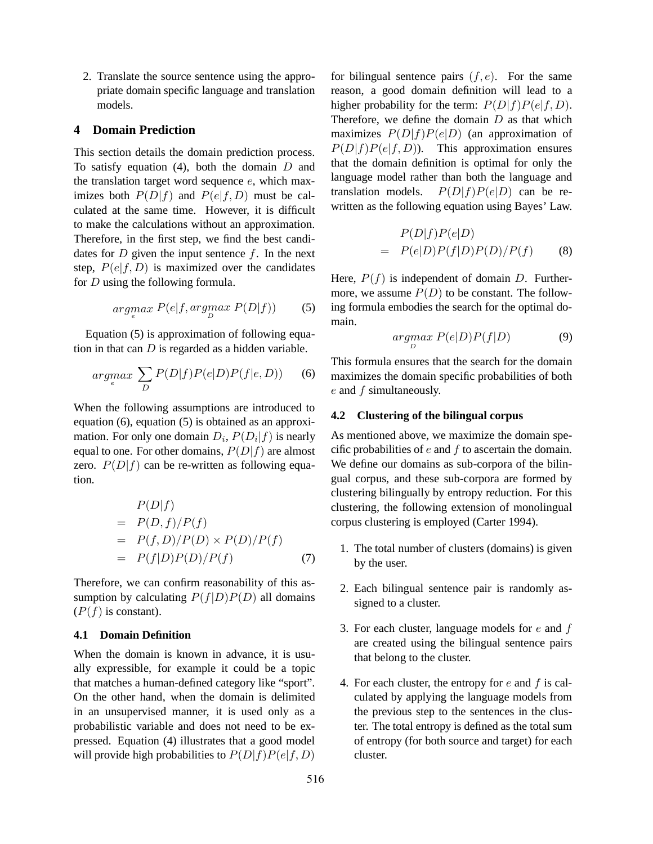2. Translate the source sentence using the appropriate domain specific language and translation models.

## **4 Domain Prediction**

This section details the domain prediction process. To satisfy equation  $(4)$ , both the domain  $D$  and the translation target word sequence  $e$ , which maximizes both  $P(D|f)$  and  $P(e|f, D)$  must be calculated at the same time. However, it is difficult to make the calculations without an approximation. Therefore, in the first step, we find the best candidates for  $D$  given the input sentence  $f$ . In the next step,  $P(e|f, D)$  is maximized over the candidates for D using the following formula.

$$
argmax_{e} P(e|f, argmax_{D} P(D|f))
$$
 (5)

Equation (5) is approximation of following equation in that can  $D$  is regarded as a hidden variable.

$$
argmax_{e} \sum_{D} P(D|f)P(e|D)P(f|e,D)) \qquad (6)
$$

When the following assumptions are introduced to equation (6), equation (5) is obtained as an approximation. For only one domain  $D_i$ ,  $P(D_i|f)$  is nearly equal to one. For other domains,  $P(D|f)$  are almost zero.  $P(D|f)$  can be re-written as following equation.

$$
P(D|f)
$$
  
=  $P(D, f)/P(f)$   
=  $P(f, D)/P(D) \times P(D)/P(f)$   
=  $P(f|D)P(D)/P(f)$  (7)

Therefore, we can confirm reasonability of this assumption by calculating  $P(f|D)P(D)$  all domains  $(P(f)$  is constant).

### **4.1 Domain Definition**

When the domain is known in advance, it is usually expressible, for example it could be a topic that matches a human-defined category like "sport". On the other hand, when the domain is delimited in an unsupervised manner, it is used only as a probabilistic variable and does not need to be expressed. Equation (4) illustrates that a good model will provide high probabilities to  $P(D|f)P(e|f, D)$  for bilingual sentence pairs  $(f, e)$ . For the same reason, a good domain definition will lead to a higher probability for the term:  $P(D|f)P(e|f, D)$ . Therefore, we define the domain  $D$  as that which maximizes  $P(D|f)P(e|D)$  (an approximation of  $P(D|f)P(e|f, D)$ . This approximation ensures that the domain definition is optimal for only the language model rather than both the language and translation models.  $P(D|f)P(e|D)$  can be rewritten as the following equation using Bayes' Law.

$$
P(D|f)P(e|D)
$$
  
=  $P(e|D)P(f|D)P(D)/P(f)$  (8)

Here,  $P(f)$  is independent of domain D. Furthermore, we assume  $P(D)$  to be constant. The following formula embodies the search for the optimal domain.

$$
\underset{D}{argmax} P(e|D)P(f|D) \tag{9}
$$

This formula ensures that the search for the domain maximizes the domain specific probabilities of both e and f simultaneously.

### **4.2 Clustering of the bilingual corpus**

As mentioned above, we maximize the domain specific probabilities of  $e$  and  $f$  to ascertain the domain. We define our domains as sub-corpora of the bilingual corpus, and these sub-corpora are formed by clustering bilingually by entropy reduction. For this clustering, the following extension of monolingual corpus clustering is employed (Carter 1994).

- 1. The total number of clusters (domains) is given by the user.
- 2. Each bilingual sentence pair is randomly assigned to a cluster.
- 3. For each cluster, language models for  $e$  and  $f$ are created using the bilingual sentence pairs that belong to the cluster.
- 4. For each cluster, the entropy for  $e$  and  $f$  is calculated by applying the language models from the previous step to the sentences in the cluster. The total entropy is defined as the total sum of entropy (for both source and target) for each cluster.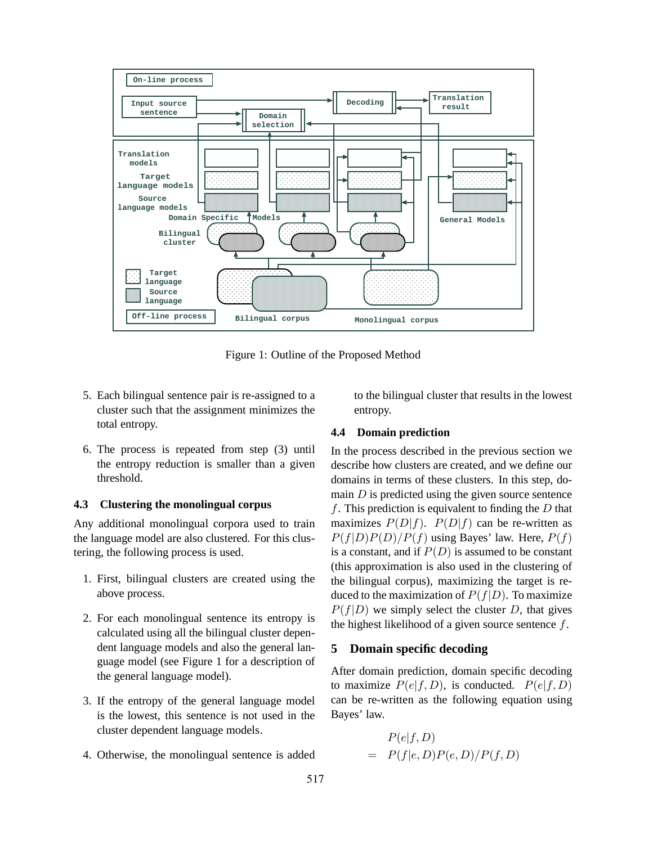

Figure 1: Outline of the Proposed Method

- 5. Each bilingual sentence pair is re-assigned to a cluster such that the assignment minimizes the total entropy.
- 6. The process is repeated from step (3) until the entropy reduction is smaller than a given threshold.

### **4.3 Clustering the monolingual corpus**

Any additional monolingual corpora used to train the language model are also clustered. For this clustering, the following process is used.

- 1. First, bilingual clusters are created using the above process.
- 2. For each monolingual sentence its entropy is calculated using all the bilingual cluster dependent language models and also the general language model (see Figure 1 for a description of the general language model).
- 3. If the entropy of the general language model is the lowest, this sentence is not used in the cluster dependent language models.
- 4. Otherwise, the monolingual sentence is added

to the bilingual cluster that results in the lowest entropy.

#### **4.4 Domain prediction**

In the process described in the previous section we describe how clusters are created, and we define our domains in terms of these clusters. In this step, domain  $D$  is predicted using the given source sentence f. This prediction is equivalent to finding the  $D$  that maximizes  $P(D|f)$ .  $P(D|f)$  can be re-written as  $P(f|D)P(D)/P(f)$  using Bayes' law. Here,  $P(f)$ is a constant, and if  $P(D)$  is assumed to be constant (this approximation is also used in the clustering of the bilingual corpus), maximizing the target is reduced to the maximization of  $P(f|D)$ . To maximize  $P(f|D)$  we simply select the cluster D, that gives the highest likelihood of a given source sentence  $f$ .

### **5 Domain specific decoding**

After domain prediction, domain specific decoding to maximize  $P(e|f, D)$ , is conducted.  $P(e|f, D)$ can be re-written as the following equation using Bayes' law.

$$
P(e|f, D)
$$
  
=  $P(f|e, D)P(e, D)/P(f, D)$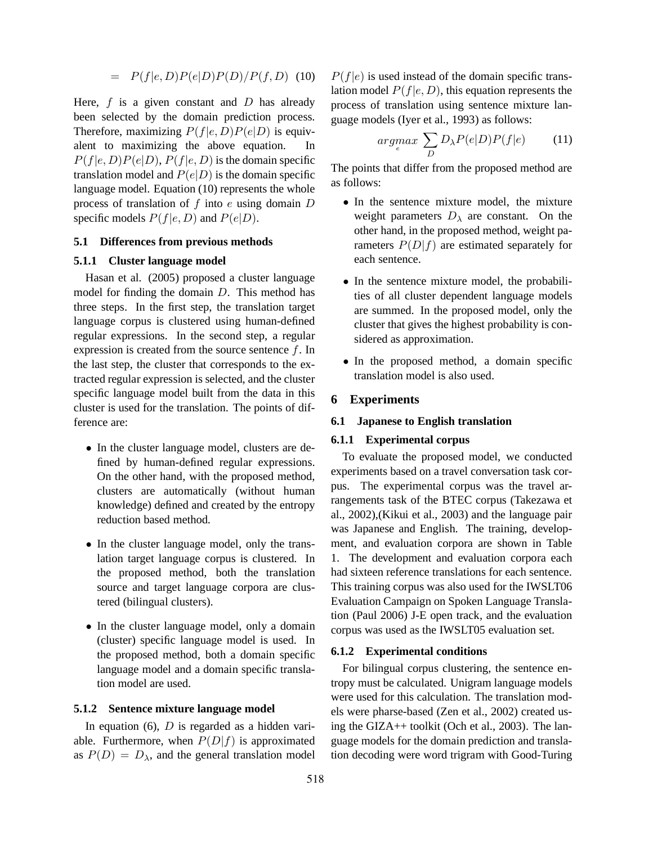$$
= P(f|e, D)P(e|D)P(D)/P(f, D) \quad (10)
$$

Here,  $f$  is a given constant and  $D$  has already been selected by the domain prediction process. Therefore, maximizing  $P(f|e, D)P(e|D)$  is equivalent to maximizing the above equation. In  $P(f|e, D)P(e|D)$ ,  $P(f|e, D)$  is the domain specific translation model and  $P(e|D)$  is the domain specific language model. Equation (10) represents the whole process of translation of  $f$  into  $e$  using domain  $D$ specific models  $P(f|e, D)$  and  $P(e|D)$ .

### **5.1 Differences from previous methods**

#### **5.1.1 Cluster language model**

Hasan et al. (2005) proposed a cluster language model for finding the domain D. This method has three steps. In the first step, the translation target language corpus is clustered using human-defined regular expressions. In the second step, a regular expression is created from the source sentence  $f$ . In the last step, the cluster that corresponds to the extracted regular expression is selected, and the cluster specific language model built from the data in this cluster is used for the translation. The points of difference are:

- In the cluster language model, clusters are defined by human-defined regular expressions. On the other hand, with the proposed method, clusters are automatically (without human knowledge) defined and created by the entropy reduction based method.
- In the cluster language model, only the translation target language corpus is clustered. In the proposed method, both the translation source and target language corpora are clustered (bilingual clusters).
- In the cluster language model, only a domain (cluster) specific language model is used. In the proposed method, both a domain specific language model and a domain specific translation model are used.

### **5.1.2 Sentence mixture language model**

In equation  $(6)$ ,  $D$  is regarded as a hidden variable. Furthermore, when  $P(D|f)$  is approximated as  $P(D) = D_{\lambda}$ , and the general translation model  $P(f|e)$  is used instead of the domain specific translation model  $P(f|e, D)$ , this equation represents the process of translation using sentence mixture language models (Iyer et al., 1993) as follows:

$$
argmax_{e} \sum_{D} D_{\lambda} P(e|D) P(f|e) \tag{11}
$$

The points that differ from the proposed method are as follows:

- In the sentence mixture model, the mixture weight parameters  $D_{\lambda}$  are constant. On the other hand, in the proposed method, weight parameters  $P(D|f)$  are estimated separately for each sentence.
- In the sentence mixture model, the probabilities of all cluster dependent language models are summed. In the proposed model, only the cluster that gives the highest probability is considered as approximation.
- In the proposed method, a domain specific translation model is also used.

### **6 Experiments**

#### **6.1 Japanese to English translation**

#### **6.1.1 Experimental corpus**

To evaluate the proposed model, we conducted experiments based on a travel conversation task corpus. The experimental corpus was the travel arrangements task of the BTEC corpus (Takezawa et al., 2002),(Kikui et al., 2003) and the language pair was Japanese and English. The training, development, and evaluation corpora are shown in Table 1. The development and evaluation corpora each had sixteen reference translations for each sentence. This training corpus was also used for the IWSLT06 Evaluation Campaign on Spoken Language Translation (Paul 2006) J-E open track, and the evaluation corpus was used as the IWSLT05 evaluation set.

#### **6.1.2 Experimental conditions**

For bilingual corpus clustering, the sentence entropy must be calculated. Unigram language models were used for this calculation. The translation models were pharse-based (Zen et al., 2002) created using the GIZA++ toolkit (Och et al., 2003). The language models for the domain prediction and translation decoding were word trigram with Good-Turing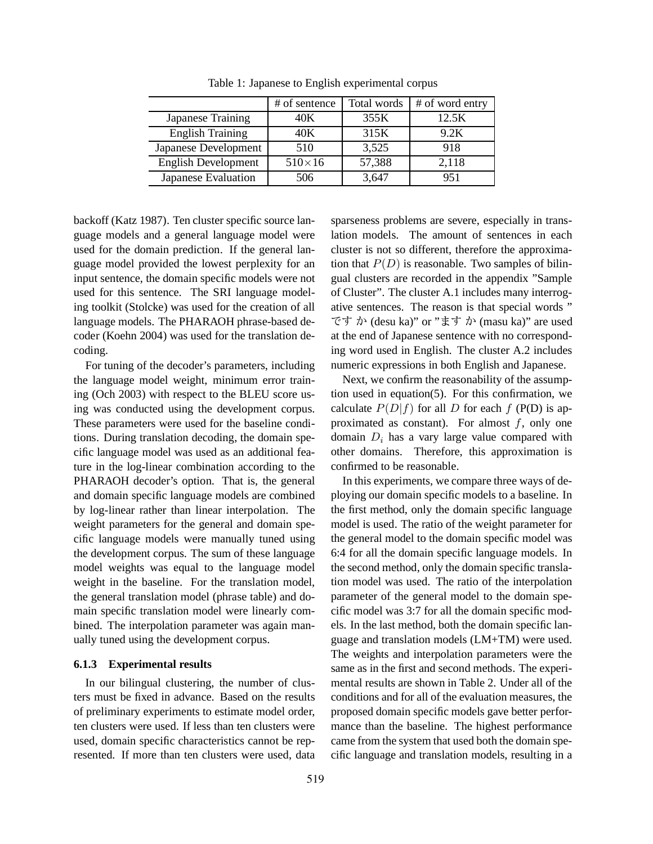|                            | # of sentence | Total words | # of word entry |  |
|----------------------------|---------------|-------------|-----------------|--|
| Japanese Training          | 40K           | 355K        | 12.5K           |  |
| <b>English Training</b>    | 40K           | 315K        | 9.2K            |  |
| Japanese Development       | 510           | 3,525       | 918             |  |
| <b>English Development</b> | $510\times16$ | 57,388      | 2,118           |  |
| Japanese Evaluation        | 506           | 3,647       | 951             |  |

Table 1: Japanese to English experimental corpus

backoff (Katz 1987). Ten cluster specific source language models and a general language model were used for the domain prediction. If the general language model provided the lowest perplexity for an input sentence, the domain specific models were not used for this sentence. The SRI language modeling toolkit (Stolcke) was used for the creation of all language models. The PHARAOH phrase-based decoder (Koehn 2004) was used for the translation decoding.

For tuning of the decoder's parameters, including the language model weight, minimum error training (Och 2003) with respect to the BLEU score using was conducted using the development corpus. These parameters were used for the baseline conditions. During translation decoding, the domain specific language model was used as an additional feature in the log-linear combination according to the PHARAOH decoder's option. That is, the general and domain specific language models are combined by log-linear rather than linear interpolation. The weight parameters for the general and domain specific language models were manually tuned using the development corpus. The sum of these language model weights was equal to the language model weight in the baseline. For the translation model, the general translation model (phrase table) and domain specific translation model were linearly combined. The interpolation parameter was again manually tuned using the development corpus.

#### **6.1.3 Experimental results**

In our bilingual clustering, the number of clusters must be fixed in advance. Based on the results of preliminary experiments to estimate model order, ten clusters were used. If less than ten clusters were used, domain specific characteristics cannot be represented. If more than ten clusters were used, data sparseness problems are severe, especially in translation models. The amount of sentences in each cluster is not so different, therefore the approximation that  $P(D)$  is reasonable. Two samples of bilingual clusters are recorded in the appendix "Sample of Cluster". The cluster A.1 includes many interrogative sentences. The reason is that special words " です か (desu ka)" or "ます か (masu ka)" are used at the end of Japanese sentence with no corresponding word used in English. The cluster A.2 includes numeric expressions in both English and Japanese.

Next, we confirm the reasonability of the assumption used in equation(5). For this confirmation, we calculate  $P(D|f)$  for all D for each f (P(D) is approximated as constant). For almost  $f$ , only one domain  $D_i$  has a vary large value compared with other domains. Therefore, this approximation is confirmed to be reasonable.

In this experiments, we compare three ways of deploying our domain specific models to a baseline. In the first method, only the domain specific language model is used. The ratio of the weight parameter for the general model to the domain specific model was 6:4 for all the domain specific language models. In the second method, only the domain specific translation model was used. The ratio of the interpolation parameter of the general model to the domain specific model was 3:7 for all the domain specific models. In the last method, both the domain specific language and translation models (LM+TM) were used. The weights and interpolation parameters were the same as in the first and second methods. The experimental results are shown in Table 2. Under all of the conditions and for all of the evaluation measures, the proposed domain specific models gave better performance than the baseline. The highest performance came from the system that used both the domain specific language and translation models, resulting in a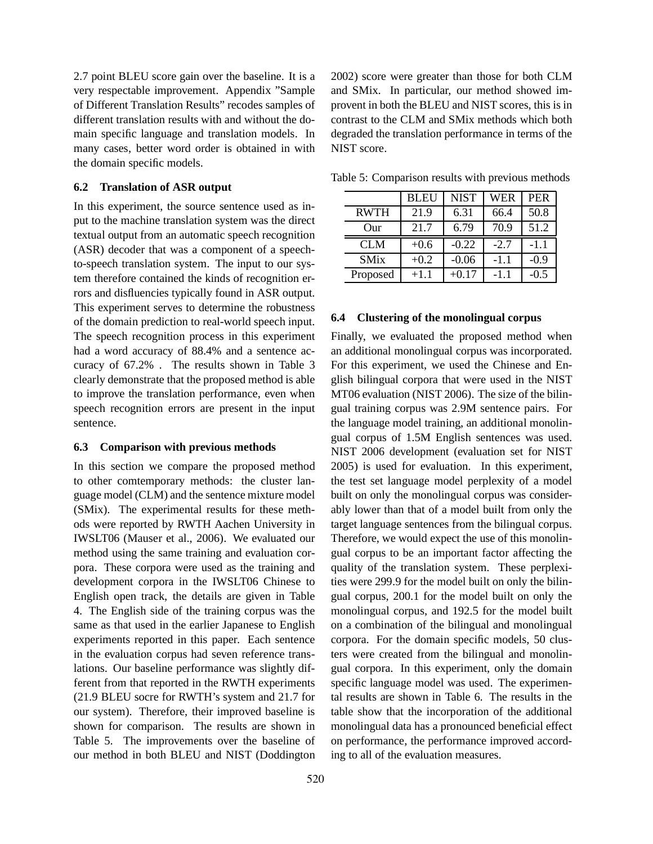2.7 point BLEU score gain over the baseline. It is a very respectable improvement. Appendix "Sample of Different Translation Results" recodes samples of different translation results with and without the domain specific language and translation models. In many cases, better word order is obtained in with the domain specific models.

# **6.2 Translation of ASR output**

In this experiment, the source sentence used as input to the machine translation system was the direct textual output from an automatic speech recognition (ASR) decoder that was a component of a speechto-speech translation system. The input to our system therefore contained the kinds of recognition errors and disfluencies typically found in ASR output. This experiment serves to determine the robustness of the domain prediction to real-world speech input. The speech recognition process in this experiment had a word accuracy of 88.4% and a sentence accuracy of 67.2% . The results shown in Table 3 clearly demonstrate that the proposed method is able to improve the translation performance, even when speech recognition errors are present in the input sentence.

#### **6.3 Comparison with previous methods**

In this section we compare the proposed method to other comtemporary methods: the cluster language model (CLM) and the sentence mixture model (SMix). The experimental results for these methods were reported by RWTH Aachen University in IWSLT06 (Mauser et al., 2006). We evaluated our method using the same training and evaluation corpora. These corpora were used as the training and development corpora in the IWSLT06 Chinese to English open track, the details are given in Table 4. The English side of the training corpus was the same as that used in the earlier Japanese to English experiments reported in this paper. Each sentence in the evaluation corpus had seven reference translations. Our baseline performance was slightly different from that reported in the RWTH experiments (21.9 BLEU socre for RWTH's system and 21.7 for our system). Therefore, their improved baseline is shown for comparison. The results are shown in Table 5. The improvements over the baseline of our method in both BLEU and NIST (Doddington 2002) score were greater than those for both CLM and SMix. In particular, our method showed improvent in both the BLEU and NIST scores, this is in contrast to the CLM and SMix methods which both degraded the translation performance in terms of the NIST score.

|             | <b>BLEU</b> | <b>NIST</b> | WER    | <b>PER</b> |
|-------------|-------------|-------------|--------|------------|
| <b>RWTH</b> | 21.9        | 6.31        | 66.4   | 50.8       |
| Our         | 21.7        | 6.79        | 70.9   | 51.2       |
| CLM         | $+0.6$      | $-0.22$     | $-2.7$ | $-1.1$     |
| <b>SMix</b> | $+0.2$      | $-0.06$     | $-1.1$ | $-0.9$     |
| Proposed    | $+1$ 1      | $+0.17$     | $-11$  | $-0.5$     |

Table 5: Comparison results with previous methods

#### **6.4 Clustering of the monolingual corpus**

Finally, we evaluated the proposed method when an additional monolingual corpus was incorporated. For this experiment, we used the Chinese and English bilingual corpora that were used in the NIST MT06 evaluation (NIST 2006). The size of the bilingual training corpus was 2.9M sentence pairs. For the language model training, an additional monolingual corpus of 1.5M English sentences was used. NIST 2006 development (evaluation set for NIST 2005) is used for evaluation. In this experiment, the test set language model perplexity of a model built on only the monolingual corpus was considerably lower than that of a model built from only the target language sentences from the bilingual corpus. Therefore, we would expect the use of this monolingual corpus to be an important factor affecting the quality of the translation system. These perplexities were 299.9 for the model built on only the bilingual corpus, 200.1 for the model built on only the monolingual corpus, and 192.5 for the model built on a combination of the bilingual and monolingual corpora. For the domain specific models, 50 clusters were created from the bilingual and monolingual corpora. In this experiment, only the domain specific language model was used. The experimental results are shown in Table 6. The results in the table show that the incorporation of the additional monolingual data has a pronounced beneficial effect on performance, the performance improved according to all of the evaluation measures.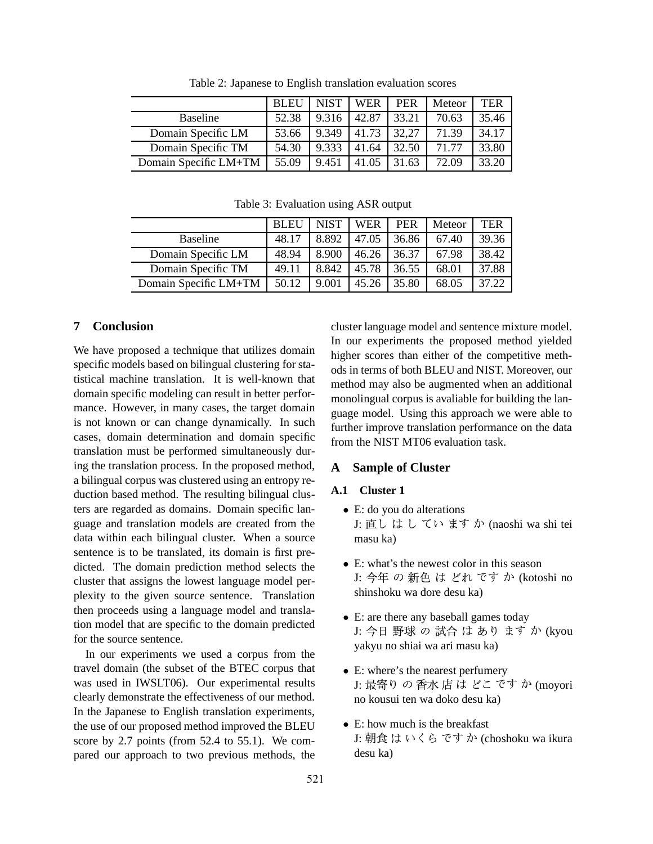|                       | <b>BLEU</b> | <b>NIST</b> | <b>WER</b> | <b>PER</b> | Meteor | <b>TER</b> |
|-----------------------|-------------|-------------|------------|------------|--------|------------|
| <b>Baseline</b>       | 52.38       | 9.316       | 42.87      | 33.21      | 70.63  | 35.46      |
| Domain Specific LM    | 53.66       | 9.349       | 41.73      | 32,27      | 71.39  | 34.17      |
| Domain Specific TM    | 54.30       | 9.333       | 41.64      | 32.50      | 71.77  | 33.80      |
| Domain Specific LM+TM | 55.09       | 9.451       | 41.05      | 31.63      | 72.09  | 33.20      |

Table 2: Japanese to English translation evaluation scores

|                       | <b>BLEU</b> | <b>NIST</b> | WER   | <b>PER</b> | Meteor | <b>TER</b> |
|-----------------------|-------------|-------------|-------|------------|--------|------------|
| <b>Baseline</b>       | 48.17       | 8.892       | 47.05 | 36.86      | 67.40  | 39.36      |
| Domain Specific LM    | 48.94       | 8.900       | 46.26 | 36.37      | 67.98  | 38.42      |
| Domain Specific TM    | 49.11       | 8.842       | 45.78 | 36.55      | 68.01  | 37.88      |
| Domain Specific LM+TM | 50.12       | 9.001       | 45.26 | 35.80      | 68.05  | 37.22      |

Table 3: Evaluation using ASR output

# **7 Conclusion**

We have proposed a technique that utilizes domain specific models based on bilingual clustering for statistical machine translation. It is well-known that domain specific modeling can result in better performance. However, in many cases, the target domain is not known or can change dynamically. In such cases, domain determination and domain specific translation must be performed simultaneously during the translation process. In the proposed method, a bilingual corpus was clustered using an entropy reduction based method. The resulting bilingual clusters are regarded as domains. Domain specific language and translation models are created from the data within each bilingual cluster. When a source sentence is to be translated, its domain is first predicted. The domain prediction method selects the cluster that assigns the lowest language model perplexity to the given source sentence. Translation then proceeds using a language model and translation model that are specific to the domain predicted for the source sentence.

In our experiments we used a corpus from the travel domain (the subset of the BTEC corpus that was used in IWSLT06). Our experimental results clearly demonstrate the effectiveness of our method. In the Japanese to English translation experiments, the use of our proposed method improved the BLEU score by 2.7 points (from 52.4 to 55.1). We compared our approach to two previous methods, the cluster language model and sentence mixture model. In our experiments the proposed method yielded higher scores than either of the competitive methods in terms of both BLEU and NIST. Moreover, our method may also be augmented when an additional monolingual corpus is avaliable for building the language model. Using this approach we were able to further improve translation performance on the data from the NIST MT06 evaluation task.

### **A Sample of Cluster**

### **A.1 Cluster 1**

- E: do you do alterations J: 直し は し てい ます か (naoshi wa shi tei masu ka)
- E: what's the newest color in this season J: 今年 の 新色 は どれ です か (kotoshi no shinshoku wa dore desu ka)
- E: are there any baseball games today J: 今日 野球 の 試合 は あり ます か (kyou yakyu no shiai wa ari masu ka)
- E: where's the nearest perfumery J: 最寄り の 香水 店 は どこ です か (moyori no kousui ten wa doko desu ka)
- E: how much is the breakfast J: 朝食 は いくら です か (choshoku wa ikura desu ka)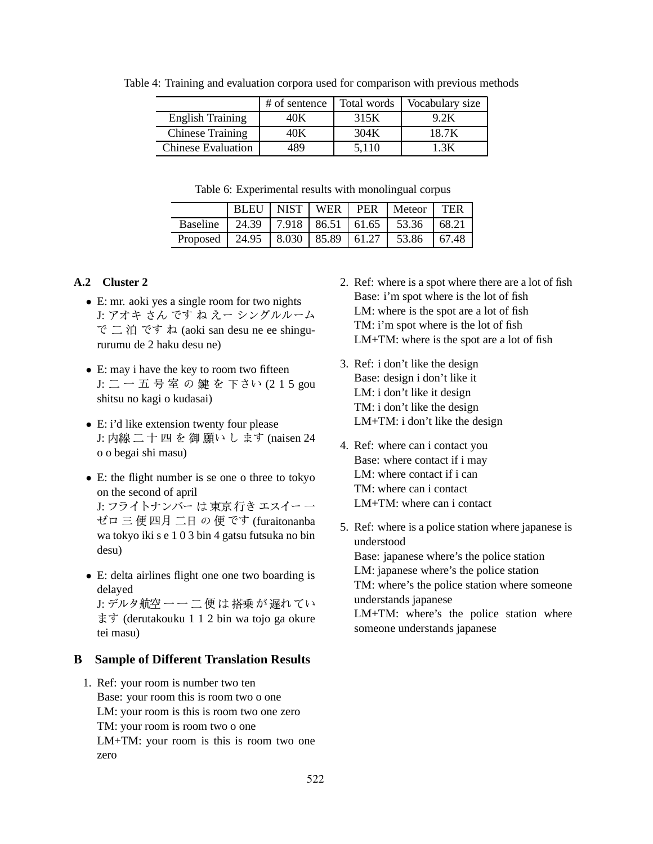|                           | # of sentence | Total words | Vocabulary size |
|---------------------------|---------------|-------------|-----------------|
| <b>English Training</b>   | 40K           | 315K        | 9.2K            |
| <b>Chinese Training</b>   | 40K           | 304K        | 18.7K           |
| <b>Chinese Evaluation</b> | 489           | 5,110       | 1.3K            |

Table 4: Training and evaluation corpora used for comparison with previous methods

Table 6: Experimental results with monolingual corpus

|                                                          |  |  | BLEU   NIST   WER   PER   Meteor | <b>TER</b> |
|----------------------------------------------------------|--|--|----------------------------------|------------|
| Baseline   24.39   7.918   86.51   61.65   53.36   68.21 |  |  |                                  |            |
| Proposed   24.95   8.030   85.89   61.27   53.86         |  |  |                                  | 67.48      |

# **A.2 Cluster 2**

- E: mr. aoki yes a single room for two nights J: アオキ さん です ね えー シングルルーム LM: wne で二泊ですね (aoki san desu ne ee shingururumu de 2 haku desu ne)
- E: may i have the key to room two fifteen J: 二一五号室の鍵を下さい (215 gou shitsu no kagi o kudasai)
- E: i'd like extension twenty four please J: 内線 二 十 四 を 御 願い し ます (naisen 24 プログラム o o begai shi masu)
- E: the flight number is se one o three to tokyo on the second of april J: フライトナンバー は 東京 行き エスイー 一 ゼロ 三 便 四月 二日 の 便 です (furaitonanba wa tokyo iki s e 1 0 3 bin 4 gatsu futsuka no bin desu)
- E: delta airlines flight one one two boarding is delayed J: デルタ航空 ― ― 二 便 は 搭乗 が 遅れ てレ over the contract of the contract of the contract of the contract of the contract of the contract of the contract of the contract of the contract of the contract of the contract of the contract of the contract of the contr ます (derutakouku 1 1 2 bin wa tojo ga okure tei masu)

### **B Sample of Different Translation Results**

1. Ref: your room is number two ten Base: your room this is room two o one LM: your room is this is room two one zero TM: your room is room two o one LM+TM: your room is this is room two one zero

- 2. Ref: where is a spot where there are a lot of fish Base: i'm spot where is the lot of fish LM: where is the spot are a lot of fish TM: i'm spot where is the lot of fish LM+TM: where is the spot are a lot of fish
- 3. Ref: i don't like the design Base: design i don't like it LM: i don't like it design TM: i don't like the design LM+TM: i don't like the design
- 4. Ref: where can i contact you Base: where contact if i may LM: where contact if i can TM: where can i contact LM+TM: where can i contact
- 5. Ref: where is a police station where japanese is understood Base: japanese where's the police station LM: japanese where's the police station TM: where's the police station where someone understands japanese LM+TM: where's the police station where someone understands japanese